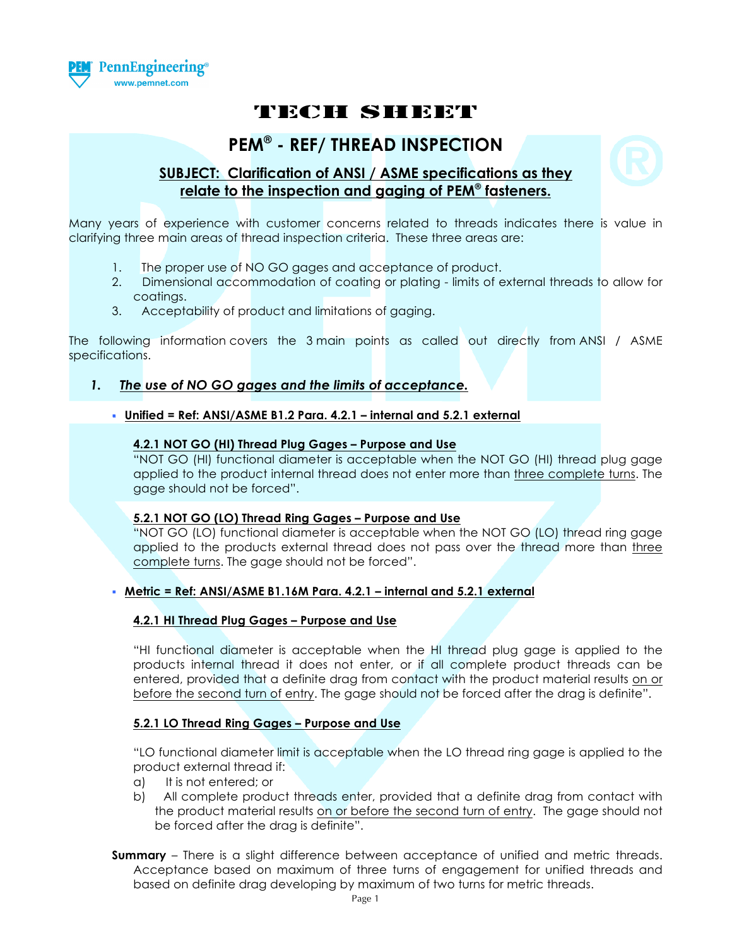

# TECH SHEET

# **PEM® - REF/ THREAD INSPECTION**

# **SUBJECT: Clarification of ANSI / ASME specifications as they relate to the inspection and gaging of PEM® fasteners.**

Many years of experience with customer concerns related to threads indicates there is value in clarifying three main areas of thread inspection criteria. These three areas are:

- 1. The proper use of NO GO gages and acceptance of product.
- 2. Dimensional accommodation of coating or plating limits of external threads to allow for coatings.
- 3. Acceptability of product and limitations of gaging.

The following information covers the 3 main points as called out directly from ANSI / ASME specifications.

# *1. The use of NO GO gages and the limits of acceptance.*

## **Unified = Ref: ANSI/ASME B1.2 Para. 4.2.1 – internal and 5.2.1 external**

#### **4.2.1 NOT GO (HI) Thread Plug Gages – Purpose and Use**

"NOT GO (HI) functional diameter is acceptable when the NOT GO (HI) thread plug gage applied to the product internal thread does not enter more than three complete turns. The gage should not be forced".

#### **5.2.1 NOT GO (LO) Thread Ring Gages – Purpose and Use**

"NOT GO (LO) functional diameter is acceptable when the NOT GO (LO) thread ring gage applied to the products external thread does not pass over the thread more than three complete turns. The gage should not be forced".

## **Metric = Ref: ANSI/ASME B1.16M Para. 4.2.1 – internal and 5.2.1 external**

#### **4.2.1 HI Thread Plug Gages – Purpose and Use**

"HI functional diameter is acceptable when the HI thread plug gage is applied to the products internal thread it does not enter, or if all complete product threads can be entered, provided that a definite drag from contact with the product material results on or before the second turn of entry. The gage should not be forced after the drag is definite".

#### **5.2.1 LO Thread Ring Gages – Purpose and Use**

"LO functional diameter limit is acceptable when the LO thread ring gage is applied to the product external thread if:

- a) It is not entered; or
- b) All complete product threads enter, provided that a definite drag from contact with the product material results on or before the second turn of entry. The gage should not be forced after the drag is definite".
- **Summary** There is a slight difference between acceptance of unified and metric threads. Acceptance based on maximum of three turns of engagement for unified threads and based on definite drag developing by maximum of two turns for metric threads.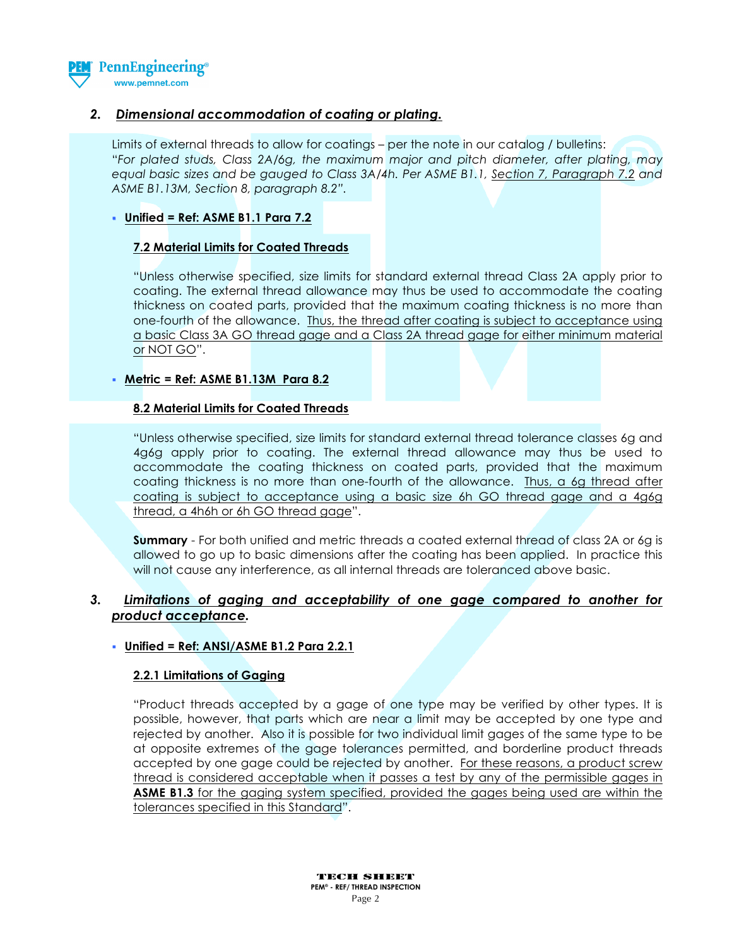

# *2. Dimensional accommodation of coating or plating.*

Limits of external threads to allow for coatings – per the note in our catalog / bulletins: "*For plated studs, Class 2A/6g, the maximum major and pitch diameter, after plating, may equal basic sizes and be gauged to Class 3A/4h. Per ASME B1.1, Section 7, Paragraph 7.2 and ASME B1.13M, Section 8, paragraph 8.2".*

### **Unified = Ref: ASME B1.1 Para 7.2**

### **7.2 Material Limits for Coated Threads**

"Unless otherwise specified, size limits for standard external thread Class 2A apply prior to coating. The external thread allowance may thus be used to accommodate the coating thickness on coated parts, provided that the maximum coating thickness is no more than one-fourth of the allowance. Thus, the thread after coating is subject to acceptance using a basic Class 3A GO thread gage and a Class 2A thread gage for either minimum material or NOT GO".

### **Metric = Ref: ASME B1.13M Para 8.2**

### **8.2 Material Limits for Coated Threads**

"Unless otherwise specified, size limits for standard external thread tolerance classes 6g and 4g6g apply prior to coating. The external thread allowance may thus be used to accommodate the coating thickness on coated parts, provided that the maximum coating thickness is no more than one-fourth of the allowance. Thus, a 6g thread after coating is subject to acceptance using a basic size 6h GO thread gage and a 4g6g thread, a 4h6h or 6h GO thread gage".

**Summary** - For both unified and metric threads a coated external thread of class 2A or 6g is allowed to go up to basic dimensions after the coating has been applied. In practice this will not cause any interference, as all internal threads are toleranced above basic.

# *3. Limitations of gaging and acceptability of one gage compared to another for product acceptance.*

# **Unified = Ref: ANSI/ASME B1.2 Para 2.2.1**

#### **2.2.1 Limitations of Gaging**

"Product threads accepted by a gage of one type may be verified by other types. It is possible, however, that parts which are near a limit may be accepted by one type and rejected by another. Also it is possible for two individual limit gages of the same type to be at opposite extremes of the gage tolerances permitted, and borderline product threads accepted by one gage could be rejected by another. For these reasons, a product screw thread is considered acceptable when it passes a test by any of the permissible gages in **ASME B1.3** for the gaging system specified, provided the gages being used are within the tolerances specified in this Standard".